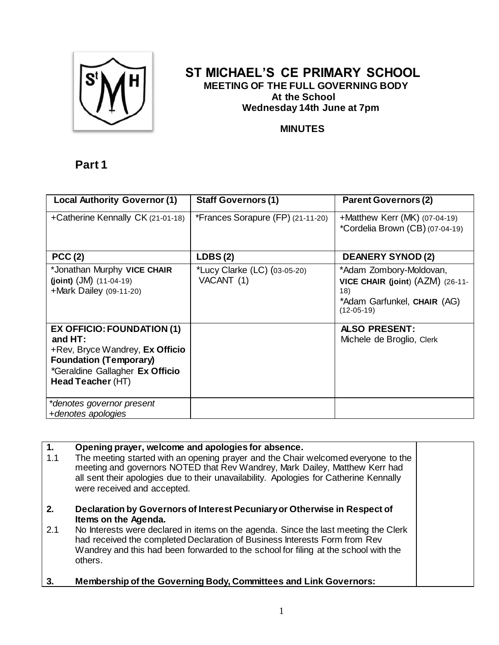

## **ST MICHAEL'S CE PRIMARY SCHOOL MEETING OF THE FULL GOVERNING BODY At the School Wednesday 14th June at 7pm**

### **MINUTES**

# **Part 1**

| <b>Local Authority Governor (1)</b>                                                                                                                                        | <b>Staff Governors (1)</b>                 | <b>Parent Governors (2)</b>                                                                                       |
|----------------------------------------------------------------------------------------------------------------------------------------------------------------------------|--------------------------------------------|-------------------------------------------------------------------------------------------------------------------|
| +Catherine Kennally CK (21-01-18)                                                                                                                                          | *Frances Sorapure (FP) (21-11-20)          | +Matthew Kerr (MK) $(07-04-19)$<br>*Cordelia Brown (CB) (07-04-19)                                                |
| PCC(2)                                                                                                                                                                     | LDBS(2)                                    | <b>DEANERY SYNOD (2)</b>                                                                                          |
| *Jonathan Murphy VICE CHAIR<br>(joint) $(JM)$ $(11-04-19)$<br>+Mark Dailey (09-11-20)                                                                                      | *Lucy Clarke (LC) (03-05-20)<br>VACANT (1) | *Adam Zombory-Moldovan,<br>VICE CHAIR (joint) (AZM) (26-11-<br>18)<br>*Adam Garfunkel, CHAIR (AG)<br>$(12-05-19)$ |
| <b>EX OFFICIO: FOUNDATION (1)</b><br>and $HT:$<br>+Rev, Bryce Wandrey, Ex Officio<br><b>Foundation (Temporary)</b><br>*Geraldine Gallagher Ex Officio<br>Head Teacher (HT) |                                            | <b>ALSO PRESENT:</b><br>Michele de Broglio, Clerk                                                                 |
| *denotes governor present<br>+denotes apologies                                                                                                                            |                                            |                                                                                                                   |

| 1.<br>1.1 | Opening prayer, welcome and apologies for absence.<br>The meeting started with an opening prayer and the Chair welcomed everyone to the<br>meeting and governors NOTED that Rev Wandrey, Mark Dailey, Matthew Kerr had<br>all sent their apologies due to their unavailability. Apologies for Catherine Kennally<br>were received and accepted.                          |  |
|-----------|--------------------------------------------------------------------------------------------------------------------------------------------------------------------------------------------------------------------------------------------------------------------------------------------------------------------------------------------------------------------------|--|
| 2.<br>2.1 | Declaration by Governors of Interest Pecuniary or Otherwise in Respect of<br>Items on the Agenda.<br>No Interests were declared in items on the agenda. Since the last meeting the Clerk<br>had received the completed Declaration of Business Interests Form from Rev<br>Wandrey and this had been forwarded to the school for filing at the school with the<br>others. |  |
| 3.        | <b>Membership of the Governing Body, Committees and Link Governors:</b>                                                                                                                                                                                                                                                                                                  |  |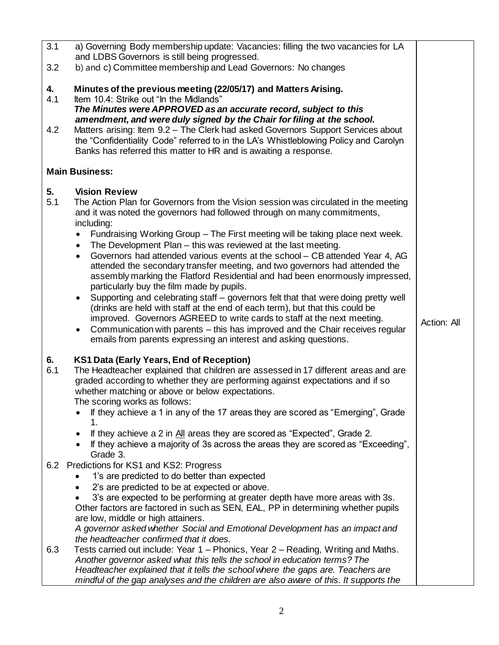| 3.1              | a) Governing Body membership update: Vacancies: filling the two vacancies for LA<br>and LDBS Governors is still being progressed.                                                                                                                                                                                                                                                                                                                                                                                                                                                                                                                                                                                                                                                                                                                                                                                                                                                                                                                                                                |             |
|------------------|--------------------------------------------------------------------------------------------------------------------------------------------------------------------------------------------------------------------------------------------------------------------------------------------------------------------------------------------------------------------------------------------------------------------------------------------------------------------------------------------------------------------------------------------------------------------------------------------------------------------------------------------------------------------------------------------------------------------------------------------------------------------------------------------------------------------------------------------------------------------------------------------------------------------------------------------------------------------------------------------------------------------------------------------------------------------------------------------------|-------------|
| 3.2              | b) and c) Committee membership and Lead Governors: No changes                                                                                                                                                                                                                                                                                                                                                                                                                                                                                                                                                                                                                                                                                                                                                                                                                                                                                                                                                                                                                                    |             |
| 4.<br>4.1<br>4.2 | Minutes of the previous meeting (22/05/17) and Matters Arising.<br>Item 10.4: Strike out "In the Midlands"<br>The Minutes were APPROVED as an accurate record, subject to this<br>amendment, and were duly signed by the Chair for filing at the school.<br>Matters arising: Item 9.2 - The Clerk had asked Governors Support Services about<br>the "Confidentiality Code" referred to in the LA's Whistleblowing Policy and Carolyn<br>Banks has referred this matter to HR and is awaiting a response.                                                                                                                                                                                                                                                                                                                                                                                                                                                                                                                                                                                         |             |
|                  | <b>Main Business:</b>                                                                                                                                                                                                                                                                                                                                                                                                                                                                                                                                                                                                                                                                                                                                                                                                                                                                                                                                                                                                                                                                            |             |
| 5.<br>5.1        | <b>Vision Review</b><br>The Action Plan for Governors from the Vision session was circulated in the meeting<br>and it was noted the governors had followed through on many commitments,<br>including:<br>Fundraising Working Group - The First meeting will be taking place next week.<br>The Development Plan - this was reviewed at the last meeting.<br>$\bullet$<br>Governors had attended various events at the school - CB attended Year 4, AG<br>$\bullet$<br>attended the secondary transfer meeting, and two governors had attended the<br>assembly marking the Flatford Residential and had been enormously impressed,<br>particularly buy the film made by pupils.<br>Supporting and celebrating staff – governors felt that that were doing pretty well<br>$\bullet$<br>(drinks are held with staff at the end of each term), but that this could be<br>improved. Governors AGREED to write cards to staff at the next meeting.<br>Communication with parents – this has improved and the Chair receives regular<br>emails from parents expressing an interest and asking questions. | Action: All |
| 6.<br>6.1        | KS1 Data (Early Years, End of Reception)<br>The Headteacher explained that children are assessed in 17 different areas and are<br>graded according to whether they are performing against expectations and if so<br>whether matching or above or below expectations.<br>The scoring works as follows:<br>If they achieve a 1 in any of the 17 areas they are scored as "Emerging", Grade<br>1.<br>If they achieve a 2 in All areas they are scored as "Expected", Grade 2.<br>$\bullet$<br>If they achieve a majority of 3s across the areas they are scored as "Exceeding",<br>Grade 3.                                                                                                                                                                                                                                                                                                                                                                                                                                                                                                         |             |
| 6.3              | 6.2 Predictions for KS1 and KS2: Progress<br>1's are predicted to do better than expected<br>2's are predicted to be at expected or above.<br>$\bullet$<br>3's are expected to be performing at greater depth have more areas with 3s.<br>Other factors are factored in such as SEN, EAL, PP in determining whether pupils<br>are low, middle or high attainers.<br>A governor asked whether Social and Emotional Development has an impact and<br>the headteacher confirmed that it does.<br>Tests carried out include: Year 1 – Phonics, Year 2 – Reading, Writing and Maths.<br>Another governor asked what this tells the school in education terms? The<br>Headteacher explained that it tells the school where the gaps are. Teachers are<br>mindful of the gap analyses and the children are also aware of this. It supports the                                                                                                                                                                                                                                                          |             |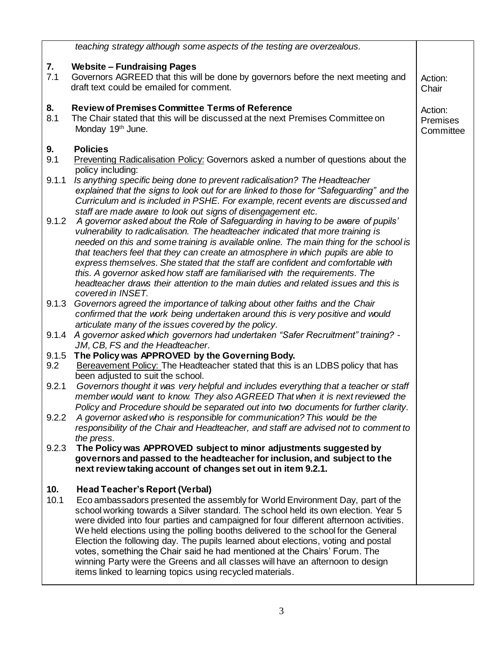|              | teaching strategy although some aspects of the testing are overzealous.                                                                                                                                                                                                                                                                                                                                                                  |                                  |
|--------------|------------------------------------------------------------------------------------------------------------------------------------------------------------------------------------------------------------------------------------------------------------------------------------------------------------------------------------------------------------------------------------------------------------------------------------------|----------------------------------|
| 7.<br>7.1    | <b>Website - Fundraising Pages</b>                                                                                                                                                                                                                                                                                                                                                                                                       |                                  |
|              | Governors AGREED that this will be done by governors before the next meeting and<br>draft text could be emailed for comment.                                                                                                                                                                                                                                                                                                             | Action:<br>Chair                 |
| 8.<br>8.1    | <b>Review of Premises Committee Terms of Reference</b><br>The Chair stated that this will be discussed at the next Premises Committee on<br>Monday 19th June.                                                                                                                                                                                                                                                                            | Action:<br>Premises<br>Committee |
| 9.<br>9.1    | <b>Policies</b><br>Preventing Radicalisation Policy: Governors asked a number of questions about the                                                                                                                                                                                                                                                                                                                                     |                                  |
|              | policy including:                                                                                                                                                                                                                                                                                                                                                                                                                        |                                  |
| 9.1.1        | Is anything specific being done to prevent radicalisation? The Headteacher<br>explained that the signs to look out for are linked to those for "Safeguarding" and the<br>Curriculum and is included in PSHE. For example, recent events are discussed and                                                                                                                                                                                |                                  |
| 9.1.2        | staff are made aware to look out signs of disengagement etc.<br>A governor asked about the Role of Safeguarding in having to be aware of pupils'                                                                                                                                                                                                                                                                                         |                                  |
|              | vulnerability to radicalisation. The headteacher indicated that more training is                                                                                                                                                                                                                                                                                                                                                         |                                  |
|              | needed on this and some training is available online. The main thing for the school is<br>that teachers feel that they can create an atmosphere in which pupils are able to                                                                                                                                                                                                                                                              |                                  |
|              | express themselves. She stated that the staff are confident and comfortable with                                                                                                                                                                                                                                                                                                                                                         |                                  |
|              | this. A governor asked how staff are familiarised with the requirements. The                                                                                                                                                                                                                                                                                                                                                             |                                  |
|              | headteacher draws their attention to the main duties and related issues and this is<br>covered in INSET.                                                                                                                                                                                                                                                                                                                                 |                                  |
| 9.1.3        | Governors agreed the importance of talking about other faiths and the Chair                                                                                                                                                                                                                                                                                                                                                              |                                  |
|              | confirmed that the work being undertaken around this is very positive and would<br>articulate many of the issues covered by the policy.                                                                                                                                                                                                                                                                                                  |                                  |
|              | 9.1.4 A governor asked which governors had undertaken "Safer Recruitment" training? -                                                                                                                                                                                                                                                                                                                                                    |                                  |
|              | JM, CB, FS and the Headteacher.                                                                                                                                                                                                                                                                                                                                                                                                          |                                  |
| 9.1.5<br>9.2 | The Policy was APPROVED by the Governing Body.<br>Bereavement Policy: The Headteacher stated that this is an LDBS policy that has                                                                                                                                                                                                                                                                                                        |                                  |
|              | been adjusted to suit the school.                                                                                                                                                                                                                                                                                                                                                                                                        |                                  |
| 9.2.1        | Governors thought it was very helpful and includes everything that a teacher or staff<br>member would want to know. They also AGREED That when it is next reviewed the                                                                                                                                                                                                                                                                   |                                  |
| 9.2.2        | Policy and Procedure should be separated out into two documents for further clarity.<br>A governor asked who is responsible for communication? This would be the                                                                                                                                                                                                                                                                         |                                  |
|              | responsibility of the Chair and Headteacher, and staff are advised not to comment to                                                                                                                                                                                                                                                                                                                                                     |                                  |
| 9.2.3        | the press.<br>The Policy was APPROVED subject to minor adjustments suggested by                                                                                                                                                                                                                                                                                                                                                          |                                  |
|              | governors and passed to the headteacher for inclusion, and subject to the<br>next review taking account of changes set out in item 9.2.1.                                                                                                                                                                                                                                                                                                |                                  |
| 10.          | <b>Head Teacher's Report (Verbal)</b>                                                                                                                                                                                                                                                                                                                                                                                                    |                                  |
| 10.1         | Eco ambassadors presented the assembly for World Environment Day, part of the<br>school working towards a Silver standard. The school held its own election. Year 5<br>were divided into four parties and campaigned for four different afternoon activities.<br>We held elections using the polling booths delivered to the school for the General<br>Election the following day. The pupils learned about elections, voting and postal |                                  |
|              | votes, something the Chair said he had mentioned at the Chairs' Forum. The<br>winning Party were the Greens and all classes will have an afternoon to design<br>items linked to learning topics using recycled materials.                                                                                                                                                                                                                |                                  |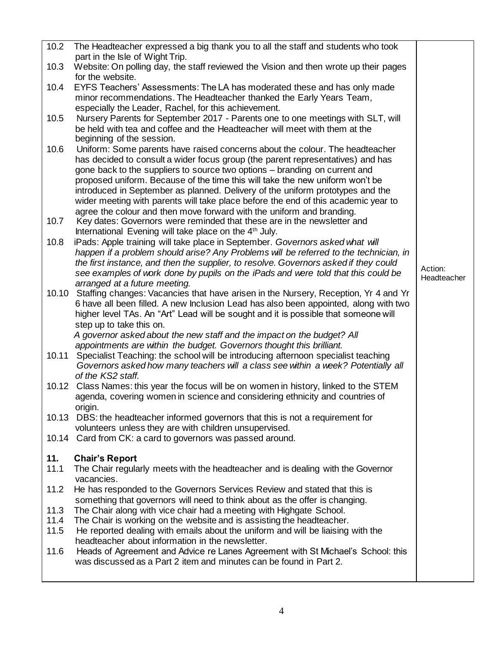| 10.2         | The Headteacher expressed a big thank you to all the staff and students who took                                                                                                           |             |
|--------------|--------------------------------------------------------------------------------------------------------------------------------------------------------------------------------------------|-------------|
|              | part in the Isle of Wight Trip.                                                                                                                                                            |             |
| 10.3         | Website: On polling day, the staff reviewed the Vision and then wrote up their pages<br>for the website.                                                                                   |             |
| 10.4         | EYFS Teachers' Assessments: The LA has moderated these and has only made<br>minor recommendations. The Headteacher thanked the Early Years Team,                                           |             |
|              | especially the Leader, Rachel, for this achievement.                                                                                                                                       |             |
| 10.5         | Nursery Parents for September 2017 - Parents one to one meetings with SLT, will<br>be held with tea and coffee and the Headteacher will meet with them at the<br>beginning of the session. |             |
| 10.6         | Uniform: Some parents have raised concerns about the colour. The headteacher                                                                                                               |             |
|              | has decided to consult a wider focus group (the parent representatives) and has                                                                                                            |             |
|              | gone back to the suppliers to source two options - branding on current and                                                                                                                 |             |
|              | proposed uniform. Because of the time this will take the new uniform won't be                                                                                                              |             |
|              | introduced in September as planned. Delivery of the uniform prototypes and the                                                                                                             |             |
|              | wider meeting with parents will take place before the end of this academic year to                                                                                                         |             |
| 10.7         | agree the colour and then move forward with the uniform and branding.<br>Key dates: Governors were reminded that these are in the newsletter and                                           |             |
|              | International Evening will take place on the 4 <sup>th</sup> July.                                                                                                                         |             |
| 10.8         | iPads: Apple training will take place in September. Governors asked what will                                                                                                              |             |
|              | happen if a problem should arise? Any Problems will be referred to the technician, in                                                                                                      |             |
|              | the first instance, and then the supplier, to resolve. Governors asked if they could                                                                                                       | Action:     |
|              | see examples of work done by pupils on the iPads and were told that this could be                                                                                                          | Headteacher |
|              | arranged at a future meeting.                                                                                                                                                              |             |
|              | 10.10 Staffing changes: Vacancies that have arisen in the Nursery, Reception, Yr 4 and Yr<br>6 have all been filled. A new Inclusion Lead has also been appointed, along with two          |             |
|              | higher level TAs. An "Art" Lead will be sought and it is possible that someone will                                                                                                        |             |
|              | step up to take this on.                                                                                                                                                                   |             |
|              | A governor asked about the new staff and the impact on the budget? All                                                                                                                     |             |
|              | appointments are within the budget. Governors thought this brilliant.                                                                                                                      |             |
| 10.11        | Specialist Teaching: the school will be introducing afternoon specialist teaching<br>Governors asked how many teachers will a class see within a week? Potentially all                     |             |
|              | of the KS2 staff.                                                                                                                                                                          |             |
| 10.12        | Class Names: this year the focus will be on women in history, linked to the STEM<br>agenda, covering women in science and considering ethnicity and countries of                           |             |
|              | origin.                                                                                                                                                                                    |             |
|              | 10.13 DBS: the headteacher informed governors that this is not a requirement for<br>volunteers unless they are with children unsupervised.                                                 |             |
|              | 10.14 Card from CK: a card to governors was passed around.                                                                                                                                 |             |
|              |                                                                                                                                                                                            |             |
| 11.          | <b>Chair's Report</b>                                                                                                                                                                      |             |
| 11.1         | The Chair regularly meets with the headteacher and is dealing with the Governor<br>vacancies.                                                                                              |             |
| 11.2         | He has responded to the Governors Services Review and stated that this is                                                                                                                  |             |
|              | something that governors will need to think about as the offer is changing.                                                                                                                |             |
| 11.3         | The Chair along with vice chair had a meeting with Highgate School.                                                                                                                        |             |
| 11.4<br>11.5 | The Chair is working on the website and is assisting the headteacher.<br>He reported dealing with emails about the uniform and will be liaising with the                                   |             |
|              | headteacher about information in the newsletter.                                                                                                                                           |             |
| 11.6         | Heads of Agreement and Advice re Lanes Agreement with St Michael's School: this                                                                                                            |             |
|              | was discussed as a Part 2 item and minutes can be found in Part 2.                                                                                                                         |             |
|              |                                                                                                                                                                                            |             |